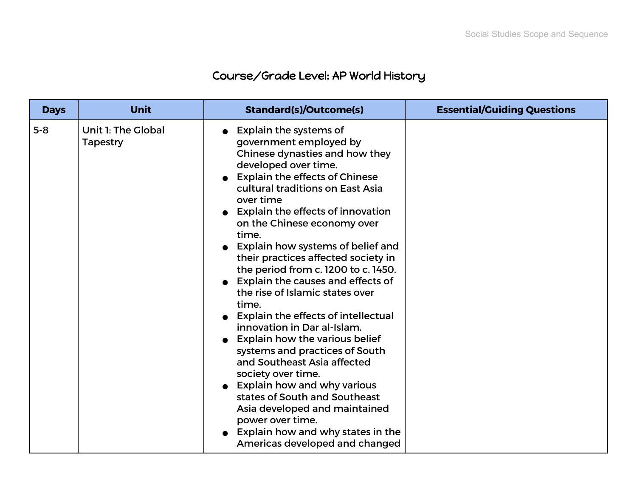## Course/Grade Level: AP World History

| <b>Days</b> | <b>Unit</b>                           | <b>Standard(s)/Outcome(s)</b>                                                                                                                                                                                                                                                                                                                                                                                                                                                                                                                                                                                                                                                                                                                                                                                                                                                             | <b>Essential/Guiding Questions</b> |
|-------------|---------------------------------------|-------------------------------------------------------------------------------------------------------------------------------------------------------------------------------------------------------------------------------------------------------------------------------------------------------------------------------------------------------------------------------------------------------------------------------------------------------------------------------------------------------------------------------------------------------------------------------------------------------------------------------------------------------------------------------------------------------------------------------------------------------------------------------------------------------------------------------------------------------------------------------------------|------------------------------------|
| $5 - 8$     | Unit 1: The Global<br><b>Tapestry</b> | Explain the systems of<br>government employed by<br>Chinese dynasties and how they<br>developed over time.<br><b>Explain the effects of Chinese</b><br>cultural traditions on East Asia<br>over time<br>• Explain the effects of innovation<br>on the Chinese economy over<br>time.<br>Explain how systems of belief and<br>their practices affected society in<br>the period from c. 1200 to c. 1450.<br>Explain the causes and effects of<br>the rise of Islamic states over<br>time.<br>Explain the effects of intellectual<br>innovation in Dar al-Islam.<br>Explain how the various belief<br>systems and practices of South<br>and Southeast Asia affected<br>society over time.<br><b>Explain how and why various</b><br>states of South and Southeast<br>Asia developed and maintained<br>power over time.<br>Explain how and why states in the<br>Americas developed and changed |                                    |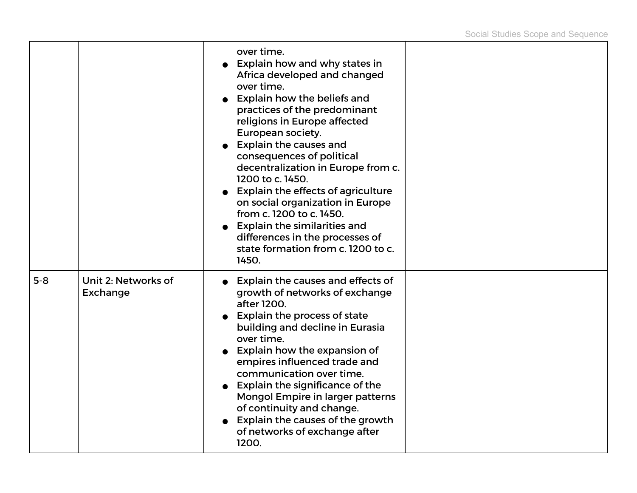|       |                                        | over time.<br><b>Explain how and why states in</b><br>Africa developed and changed<br>over time.<br><b>Explain how the beliefs and</b><br>$\bullet$<br>practices of the predominant<br>religions in Europe affected<br>European society.<br>• Explain the causes and<br>consequences of political<br>decentralization in Europe from c.<br>1200 to c. 1450.<br>• Explain the effects of agriculture<br>on social organization in Europe<br>from c. 1200 to c. 1450.<br>• Explain the similarities and<br>differences in the processes of<br>state formation from c. 1200 to c.<br>1450. |  |
|-------|----------------------------------------|-----------------------------------------------------------------------------------------------------------------------------------------------------------------------------------------------------------------------------------------------------------------------------------------------------------------------------------------------------------------------------------------------------------------------------------------------------------------------------------------------------------------------------------------------------------------------------------------|--|
| $5-8$ | Unit 2: Networks of<br><b>Exchange</b> | • Explain the causes and effects of<br>growth of networks of exchange<br>after 1200.<br><b>Explain the process of state</b><br>building and decline in Eurasia<br>over time.<br>• Explain how the expansion of<br>empires influenced trade and<br>communication over time.<br>• Explain the significance of the<br>Mongol Empire in larger patterns<br>of continuity and change.<br>Explain the causes of the growth<br>of networks of exchange after<br>1200.                                                                                                                          |  |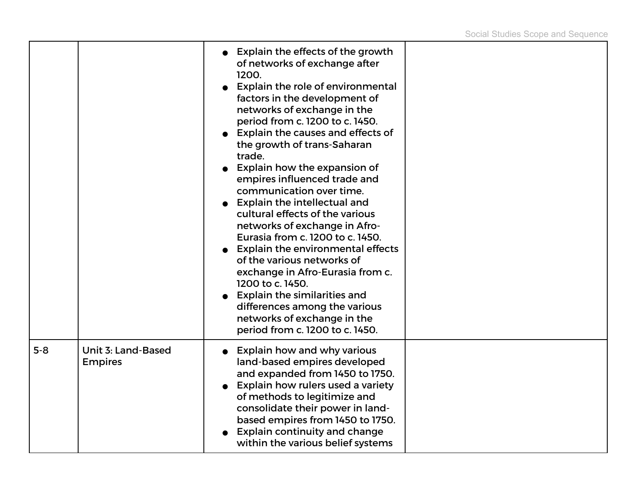|       |                                      | <b>Explain the effects of the growth</b><br>of networks of exchange after<br>1200.<br>Explain the role of environmental<br>factors in the development of<br>networks of exchange in the<br>period from c. 1200 to c. 1450.<br>Explain the causes and effects of<br>the growth of trans-Saharan<br>trade.<br>Explain how the expansion of<br>empires influenced trade and<br>communication over time.<br><b>Explain the intellectual and</b><br>cultural effects of the various<br>networks of exchange in Afro-<br>Eurasia from c. 1200 to c. 1450.<br><b>Explain the environmental effects</b><br>of the various networks of<br>exchange in Afro-Eurasia from c.<br>1200 to c. 1450.<br>Explain the similarities and<br>differences among the various<br>networks of exchange in the<br>period from c. 1200 to c. 1450. |  |
|-------|--------------------------------------|--------------------------------------------------------------------------------------------------------------------------------------------------------------------------------------------------------------------------------------------------------------------------------------------------------------------------------------------------------------------------------------------------------------------------------------------------------------------------------------------------------------------------------------------------------------------------------------------------------------------------------------------------------------------------------------------------------------------------------------------------------------------------------------------------------------------------|--|
| $5-8$ | Unit 3: Land-Based<br><b>Empires</b> | Explain how and why various<br>land-based empires developed<br>and expanded from 1450 to 1750.<br>Explain how rulers used a variety<br>of methods to legitimize and<br>consolidate their power in land-<br>based empires from 1450 to 1750.<br><b>Explain continuity and change</b><br>within the various belief systems                                                                                                                                                                                                                                                                                                                                                                                                                                                                                                 |  |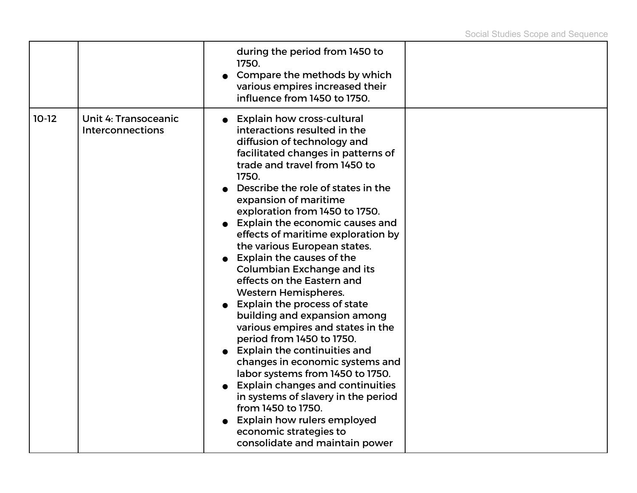|         |                                                        | during the period from 1450 to<br>1750.<br>Compare the methods by which<br>various empires increased their<br>influence from 1450 to 1750.                                                                                                                                                                                                                                                                                                                                                                                                                                                                                                                                                                                                                                                                                                                                                                                                                                   |  |
|---------|--------------------------------------------------------|------------------------------------------------------------------------------------------------------------------------------------------------------------------------------------------------------------------------------------------------------------------------------------------------------------------------------------------------------------------------------------------------------------------------------------------------------------------------------------------------------------------------------------------------------------------------------------------------------------------------------------------------------------------------------------------------------------------------------------------------------------------------------------------------------------------------------------------------------------------------------------------------------------------------------------------------------------------------------|--|
| $10-12$ | <b>Unit 4: Transoceanic</b><br><b>Interconnections</b> | <b>Explain how cross-cultural</b><br>interactions resulted in the<br>diffusion of technology and<br>facilitated changes in patterns of<br>trade and travel from 1450 to<br>1750.<br>Describe the role of states in the<br>expansion of maritime<br>exploration from 1450 to 1750.<br>Explain the economic causes and<br>effects of maritime exploration by<br>the various European states.<br>Explain the causes of the<br><b>Columbian Exchange and its</b><br>effects on the Eastern and<br><b>Western Hemispheres.</b><br>Explain the process of state<br>building and expansion among<br>various empires and states in the<br>period from 1450 to 1750.<br><b>Explain the continuities and</b><br>changes in economic systems and<br>labor systems from 1450 to 1750.<br><b>Explain changes and continuities</b><br>in systems of slavery in the period<br>from 1450 to 1750.<br>Explain how rulers employed<br>economic strategies to<br>consolidate and maintain power |  |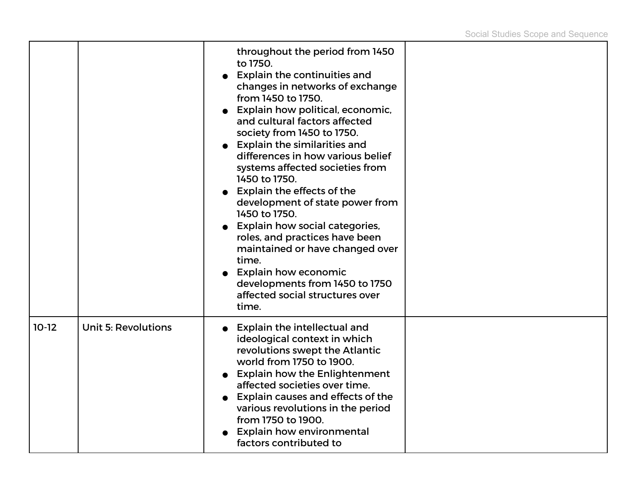|         |                            | throughout the period from 1450<br>to 1750.<br><b>Explain the continuities and</b><br>changes in networks of exchange<br>from 1450 to 1750.<br>Explain how political, economic,<br>and cultural factors affected<br>society from 1450 to 1750.<br><b>Explain the similarities and</b><br>differences in how various belief<br>systems affected societies from<br>1450 to 1750.<br>Explain the effects of the<br>development of state power from<br>1450 to 1750.<br><b>Explain how social categories,</b><br>roles, and practices have been<br>maintained or have changed over<br>time.<br><b>Explain how economic</b><br>developments from 1450 to 1750<br>affected social structures over<br>time. |  |
|---------|----------------------------|------------------------------------------------------------------------------------------------------------------------------------------------------------------------------------------------------------------------------------------------------------------------------------------------------------------------------------------------------------------------------------------------------------------------------------------------------------------------------------------------------------------------------------------------------------------------------------------------------------------------------------------------------------------------------------------------------|--|
| $10-12$ | <b>Unit 5: Revolutions</b> | <b>Explain the intellectual and</b><br>ideological context in which<br>revolutions swept the Atlantic<br>world from 1750 to 1900.<br><b>Explain how the Enlightenment</b><br>affected societies over time.<br>Explain causes and effects of the<br>various revolutions in the period<br>from 1750 to 1900.<br><b>Explain how environmental</b><br>factors contributed to                                                                                                                                                                                                                                                                                                                             |  |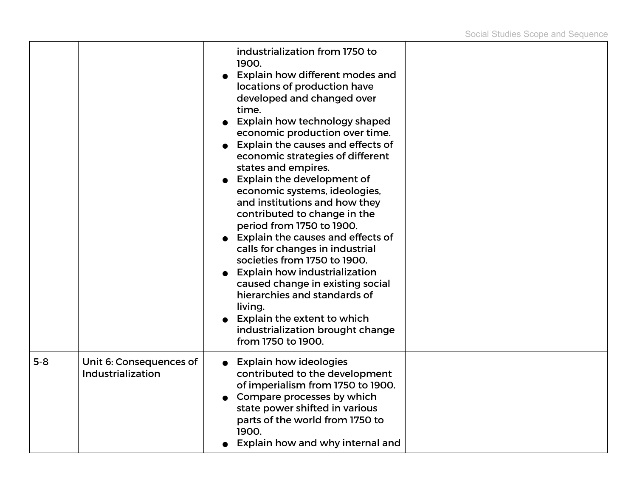|         |                                              | industrialization from 1750 to<br>1900.<br>Explain how different modes and<br>locations of production have<br>developed and changed over<br>time.<br>Explain how technology shaped<br>economic production over time.<br>Explain the causes and effects of<br>economic strategies of different<br>states and empires.<br>Explain the development of<br>economic systems, ideologies,<br>and institutions and how they<br>contributed to change in the<br>period from 1750 to 1900.<br>Explain the causes and effects of<br>calls for changes in industrial<br>societies from 1750 to 1900.<br><b>Explain how industrialization</b><br>caused change in existing social<br>hierarchies and standards of<br>living.<br>Explain the extent to which<br>industrialization brought change<br>from 1750 to 1900. |  |
|---------|----------------------------------------------|-----------------------------------------------------------------------------------------------------------------------------------------------------------------------------------------------------------------------------------------------------------------------------------------------------------------------------------------------------------------------------------------------------------------------------------------------------------------------------------------------------------------------------------------------------------------------------------------------------------------------------------------------------------------------------------------------------------------------------------------------------------------------------------------------------------|--|
| $5 - 8$ | Unit 6: Consequences of<br>Industrialization | <b>Explain how ideologies</b><br>contributed to the development<br>of imperialism from 1750 to 1900.<br>Compare processes by which<br>state power shifted in various<br>parts of the world from 1750 to<br>1900.<br>Explain how and why internal and                                                                                                                                                                                                                                                                                                                                                                                                                                                                                                                                                      |  |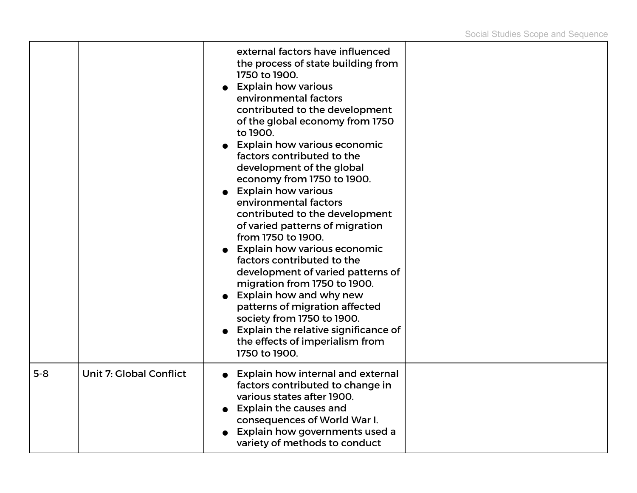|       |                                | external factors have influenced<br>the process of state building from<br>1750 to 1900.<br><b>Explain how various</b><br>environmental factors<br>contributed to the development<br>of the global economy from 1750<br>to 1900.<br><b>Explain how various economic</b><br>factors contributed to the<br>development of the global<br>economy from 1750 to 1900.<br><b>Explain how various</b><br>environmental factors<br>contributed to the development<br>of varied patterns of migration<br>from 1750 to 1900.<br><b>Explain how various economic</b><br>factors contributed to the<br>development of varied patterns of<br>migration from 1750 to 1900.<br>Explain how and why new<br>patterns of migration affected<br>society from 1750 to 1900.<br>Explain the relative significance of<br>the effects of imperialism from<br>1750 to 1900. |  |
|-------|--------------------------------|----------------------------------------------------------------------------------------------------------------------------------------------------------------------------------------------------------------------------------------------------------------------------------------------------------------------------------------------------------------------------------------------------------------------------------------------------------------------------------------------------------------------------------------------------------------------------------------------------------------------------------------------------------------------------------------------------------------------------------------------------------------------------------------------------------------------------------------------------|--|
| $5-8$ | <b>Unit 7: Global Conflict</b> | <b>Explain how internal and external</b><br>factors contributed to change in<br>various states after 1900.<br><b>Explain the causes and</b><br>consequences of World War I.<br>Explain how governments used a<br>variety of methods to conduct                                                                                                                                                                                                                                                                                                                                                                                                                                                                                                                                                                                                     |  |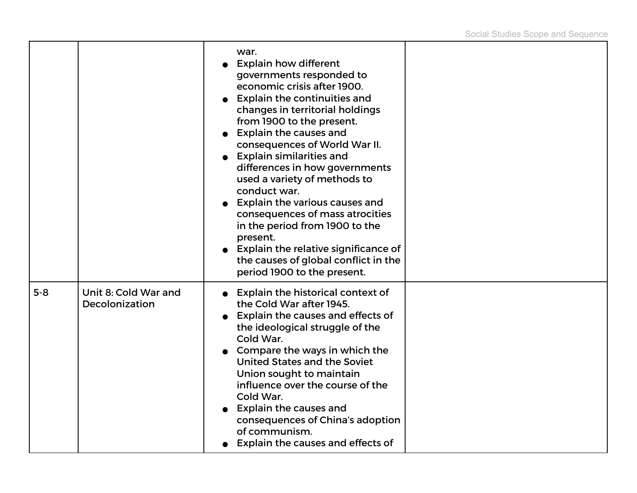|       |                                        | war.<br>• Explain how different<br>governments responded to<br>economic crisis after 1900.<br><b>Explain the continuities and</b><br>changes in territorial holdings<br>from 1900 to the present.<br><b>Explain the causes and</b><br>consequences of World War II.<br><b>Explain similarities and</b><br>differences in how governments<br>used a variety of methods to<br>conduct war.<br><b>Explain the various causes and</b><br>consequences of mass atrocities<br>in the period from 1900 to the<br>present.<br>Explain the relative significance of<br>the causes of global conflict in the<br>period 1900 to the present. |  |
|-------|----------------------------------------|-----------------------------------------------------------------------------------------------------------------------------------------------------------------------------------------------------------------------------------------------------------------------------------------------------------------------------------------------------------------------------------------------------------------------------------------------------------------------------------------------------------------------------------------------------------------------------------------------------------------------------------|--|
| $5-8$ | Unit 8: Cold War and<br>Decolonization | • Explain the historical context of<br>the Cold War after 1945.<br>Explain the causes and effects of<br>the ideological struggle of the<br>Cold War.<br>Compare the ways in which the<br>United States and the Soviet<br>Union sought to maintain<br>influence over the course of the<br>Cold War.<br><b>Explain the causes and</b><br>consequences of China's adoption<br>of communism.<br>Explain the causes and effects of                                                                                                                                                                                                     |  |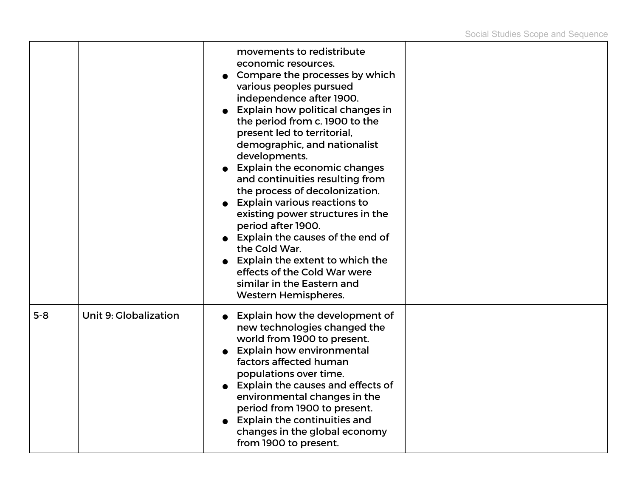|         |                              | movements to redistribute<br>economic resources.<br>Compare the processes by which<br>various peoples pursued<br>independence after 1900.<br>Explain how political changes in<br>the period from c. 1900 to the<br>present led to territorial,<br>demographic, and nationalist<br>developments.<br><b>Explain the economic changes</b><br>and continuities resulting from<br>the process of decolonization.<br><b>Explain various reactions to</b><br>existing power structures in the<br>period after 1900.<br>• Explain the causes of the end of<br>the Cold War.<br>Explain the extent to which the<br>effects of the Cold War were<br>similar in the Eastern and<br><b>Western Hemispheres.</b> |  |
|---------|------------------------------|-----------------------------------------------------------------------------------------------------------------------------------------------------------------------------------------------------------------------------------------------------------------------------------------------------------------------------------------------------------------------------------------------------------------------------------------------------------------------------------------------------------------------------------------------------------------------------------------------------------------------------------------------------------------------------------------------------|--|
| $5 - 8$ | <b>Unit 9: Globalization</b> | • Explain how the development of<br>new technologies changed the<br>world from 1900 to present.<br><b>Explain how environmental</b><br>factors affected human<br>populations over time.<br>Explain the causes and effects of<br>environmental changes in the<br>period from 1900 to present.<br><b>Explain the continuities and</b><br>changes in the global economy<br>from 1900 to present.                                                                                                                                                                                                                                                                                                       |  |